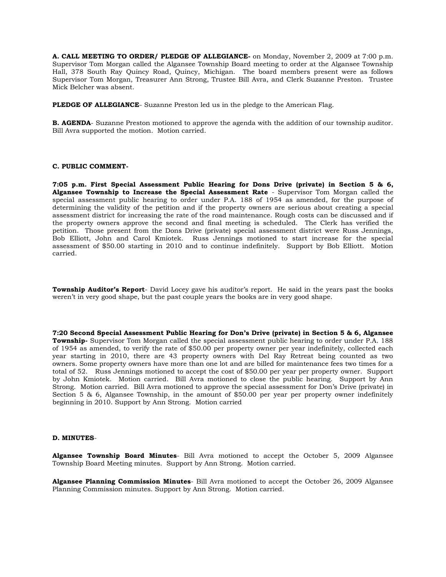**A. CALL MEETING TO ORDER/ PLEDGE OF ALLEGIANCE-** on Monday, November 2, 2009 at 7:00 p.m. Supervisor Tom Morgan called the Algansee Township Board meeting to order at the Algansee Township Hall, 378 South Ray Quincy Road, Quincy, Michigan. The board members present were as follows Supervisor Tom Morgan, Treasurer Ann Strong, Trustee Bill Avra, and Clerk Suzanne Preston. Trustee Mick Belcher was absent.

**PLEDGE OF ALLEGIANCE**- Suzanne Preston led us in the pledge to the American Flag.

**B. AGENDA**- Suzanne Preston motioned to approve the agenda with the addition of our township auditor. Bill Avra supported the motion. Motion carried.

# **C. PUBLIC COMMENT-**

**7:05 p.m. First Special Assessment Public Hearing for Dons Drive (private) in Section 5 & 6, Algansee Township to Increase the Special Assessment Rate** - Supervisor Tom Morgan called the special assessment public hearing to order under P.A. 188 of 1954 as amended, for the purpose of determining the validity of the petition and if the property owners are serious about creating a special assessment district for increasing the rate of the road maintenance. Rough costs can be discussed and if the property owners approve the second and final meeting is scheduled. The Clerk has verified the petition. Those present from the Dons Drive (private) special assessment district were Russ Jennings, Bob Elliott, John and Carol Kmiotek. Russ Jennings motioned to start increase for the special assessment of \$50.00 starting in 2010 and to continue indefinitely. Support by Bob Elliott. Motion carried.

**Township Auditor's Report**- David Locey gave his auditor's report. He said in the years past the books weren't in very good shape, but the past couple years the books are in very good shape.

**7:20 Second Special Assessment Public Hearing for Don's Drive (private) in Section 5 & 6, Algansee Township-** Supervisor Tom Morgan called the special assessment public hearing to order under P.A. 188 of 1954 as amended, to verify the rate of \$50.00 per property owner per year indefinitely, collected each year starting in 2010, there are 43 property owners with Del Ray Retreat being counted as two owners. Some property owners have more than one lot and are billed for maintenance fees two times for a total of 52. Russ Jennings motioned to accept the cost of \$50.00 per year per property owner. Support by John Kmiotek. Motion carried. Bill Avra motioned to close the public hearing. Support by Ann Strong. Motion carried. Bill Avra motioned to approve the special assessment for Don's Drive (private) in Section 5 & 6, Algansee Township, in the amount of \$50.00 per year per property owner indefinitely beginning in 2010. Support by Ann Strong. Motion carried

## **D. MINUTES**-

**Algansee Township Board Minutes**- Bill Avra motioned to accept the October 5, 2009 Algansee Township Board Meeting minutes. Support by Ann Strong. Motion carried.

**Algansee Planning Commission Minutes**- Bill Avra motioned to accept the October 26, 2009 Algansee Planning Commission minutes. Support by Ann Strong. Motion carried.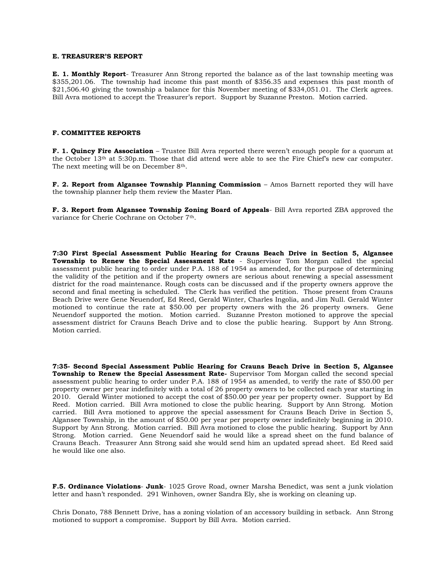### **E. TREASURER'S REPORT**

**E. 1. Monthly Report**- Treasurer Ann Strong reported the balance as of the last township meeting was \$355,201.06. The township had income this past month of \$356.35 and expenses this past month of \$21,506.40 giving the township a balance for this November meeting of \$334,051.01. The Clerk agrees. Bill Avra motioned to accept the Treasurer's report. Support by Suzanne Preston. Motion carried.

#### **F. COMMITTEE REPORTS**

**F. 1. Quincy Fire Association** – Trustee Bill Avra reported there weren't enough people for a quorum at the October 13th at 5:30p.m. Those that did attend were able to see the Fire Chief's new car computer. The next meeting will be on December 8th.

**F. 2. Report from Algansee Township Planning Commission** - Amos Barnett reported they will have the township planner help them review the Master Plan.

**F. 3. Report from Algansee Township Zoning Board of Appeals**- Bill Avra reported ZBA approved the variance for Cherie Cochrane on October 7th.

**7:30 First Special Assessment Public Hearing for Crauns Beach Drive in Section 5, Algansee Township to Renew the Special Assessment Rate** - Supervisor Tom Morgan called the special assessment public hearing to order under P.A. 188 of 1954 as amended, for the purpose of determining the validity of the petition and if the property owners are serious about renewing a special assessment district for the road maintenance. Rough costs can be discussed and if the property owners approve the second and final meeting is scheduled. The Clerk has verified the petition. Those present from Crauns Beach Drive were Gene Neuendorf, Ed Reed, Gerald Winter, Charles Ingolia, and Jim Null. Gerald Winter motioned to continue the rate at \$50.00 per property owners with the 26 property owners. Gene Neuendorf supported the motion. Motion carried. Suzanne Preston motioned to approve the special assessment district for Crauns Beach Drive and to close the public hearing. Support by Ann Strong. Motion carried.

**7:35- Second Special Assessment Public Hearing for Crauns Beach Drive in Section 5, Algansee Township to Renew the Special Assessment Rate-** Supervisor Tom Morgan called the second special assessment public hearing to order under P.A. 188 of 1954 as amended, to verify the rate of \$50.00 per property owner per year indefinitely with a total of 26 property owners to be collected each year starting in 2010. Gerald Winter motioned to accept the cost of \$50.00 per year per property owner. Support by Ed Reed. Motion carried. Bill Avra motioned to close the public hearing. Support by Ann Strong. Motion carried. Bill Avra motioned to approve the special assessment for Crauns Beach Drive in Section 5, Algansee Township, in the amount of \$50.00 per year per property owner indefinitely beginning in 2010. Support by Ann Strong. Motion carried. Bill Avra motioned to close the public hearing. Support by Ann Strong. Motion carried. Gene Neuendorf said he would like a spread sheet on the fund balance of Crauns Beach. Treasurer Ann Strong said she would send him an updated spread sheet. Ed Reed said he would like one also.

**F.5. Ordinance Violations**- **Junk**- 1025 Grove Road, owner Marsha Benedict, was sent a junk violation letter and hasn't responded. 291 Winhoven, owner Sandra Ely, she is working on cleaning up.

Chris Donato, 788 Bennett Drive, has a zoning violation of an accessory building in setback. Ann Strong motioned to support a compromise. Support by Bill Avra. Motion carried.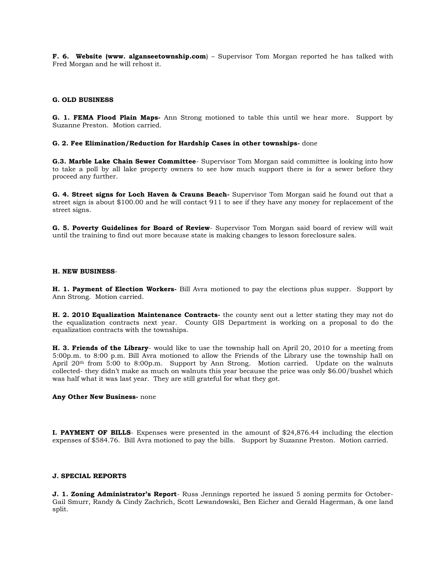**F. 6. Website (www. alganseetownship.com**) – Supervisor Tom Morgan reported he has talked with Fred Morgan and he will rehost it.

## **G. OLD BUSINESS**

**G. 1. FEMA Flood Plain Maps-** Ann Strong motioned to table this until we hear more. Support by Suzanne Preston. Motion carried.

## **G. 2. Fee Elimination/Reduction for Hardship Cases in other townships-** done

**G.3. Marble Lake Chain Sewer Committee**- Supervisor Tom Morgan said committee is looking into how to take a poll by all lake property owners to see how much support there is for a sewer before they proceed any further.

**G. 4. Street signs for Loch Haven & Crauns Beach-** Supervisor Tom Morgan said he found out that a street sign is about \$100.00 and he will contact 911 to see if they have any money for replacement of the street signs.

**G. 5. Poverty Guidelines for Board of Review**- Supervisor Tom Morgan said board of review will wait until the training to find out more because state is making changes to lesson foreclosure sales.

#### **H. NEW BUSINESS**-

**H. 1. Payment of Election Workers-** Bill Avra motioned to pay the elections plus supper. Support by Ann Strong. Motion carried.

**H. 2. 2010 Equalization Maintenance Contracts-** the county sent out a letter stating they may not do the equalization contracts next year. County GIS Department is working on a proposal to do the equalization contracts with the townships.

**H. 3. Friends of the Library**- would like to use the township hall on April 20, 2010 for a meeting from 5:00p.m. to 8:00 p.m. Bill Avra motioned to allow the Friends of the Library use the township hall on April 20th from 5:00 to 8:00p.m. Support by Ann Strong. Motion carried. Update on the walnuts collected- they didn't make as much on walnuts this year because the price was only \$6.00/bushel which was half what it was last year. They are still grateful for what they got.

### **Any Other New Business-** none

**I. PAYMENT OF BILLS**- Expenses were presented in the amount of \$24,876.44 including the election expenses of \$584.76. Bill Avra motioned to pay the bills. Support by Suzanne Preston. Motion carried.

# **J. SPECIAL REPORTS**

**J. 1. Zoning Administrator's Report**- Russ Jennings reported he issued 5 zoning permits for October-Gail Smurr, Randy & Cindy Zachrich, Scott Lewandowski, Ben Eicher and Gerald Hagerman, & one land split.